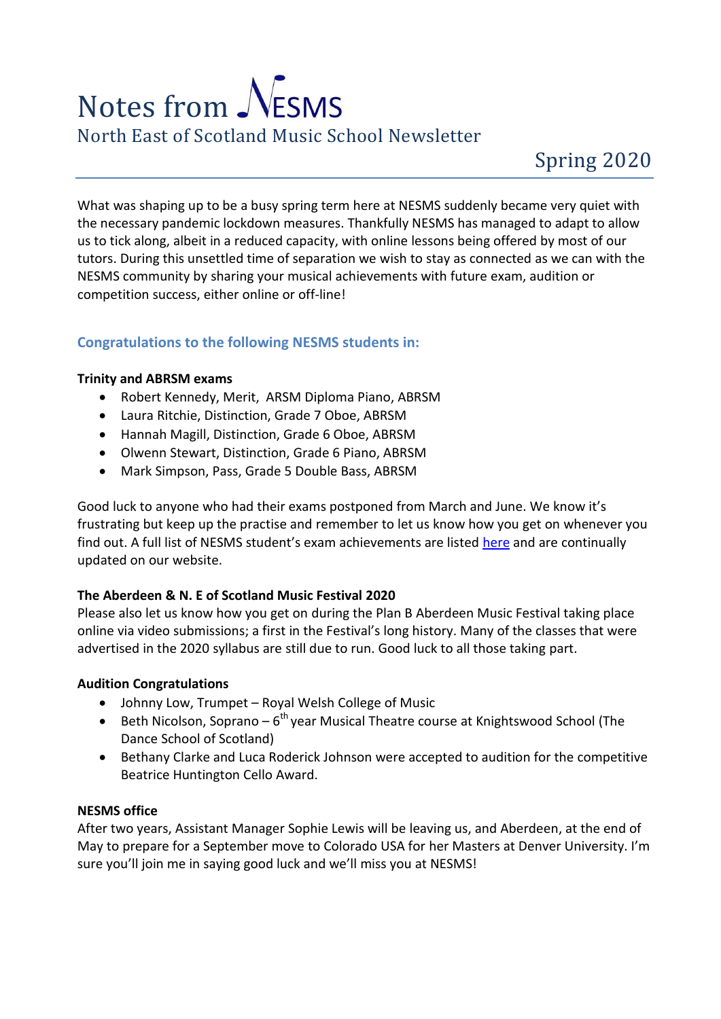# Notes from  $\mathcal{N}$ ESMS North East of Scotland Music School Newsletter

What was shaping up to be a busy spring term here at NESMS suddenly became very quiet with the necessary pandemic lockdown measures. Thankfully NESMS has managed to adapt to allow us to tick along, albeit in a reduced capacity, with online lessons being offered by most of our tutors. During this unsettled time of separation we wish to stay as connected as we can with the NESMS community by sharing your musical achievements with future exam, audition or competition success, either online or off-line!

# **Congratulations to the following NESMS students in:**

# **Trinity and ABRSM exams**

- Robert Kennedy, Merit, ARSM Diploma Piano, ABRSM
- Laura Ritchie, Distinction, Grade 7 Oboe, ABRSM
- Hannah Magill, Distinction, Grade 6 Oboe, ABRSM
- Olwenn Stewart, Distinction, Grade 6 Piano, ABRSM
- Mark Simpson, Pass, Grade 5 Double Bass, ABRSM

Good luck to anyone who had their exams postponed from March and June. We know it's frustrating but keep up the practise and remember to let us know how you get on whenever you find out. A full list of NESMS student's exam achievements are listed [here](https://www.nesms.org.uk/news2.html) and are continually updated on our website.

# **The Aberdeen & N. E of Scotland Music Festival 2020**

Please also let us know how you get on during the Plan B Aberdeen Music Festival taking place online via video submissions; a first in the Festival's long history. Many of the classes that were advertised in the 2020 syllabus are still due to run. Good luck to all those taking part.

# **Audition Congratulations**

- Johnny Low, Trumpet Royal Welsh College of Music
- Beth Nicolson, Soprano  $6<sup>th</sup>$  year Musical Theatre course at Knightswood School (The Dance School of Scotland)
- Bethany Clarke and Luca Roderick Johnson were accepted to audition for the competitive Beatrice Huntington Cello Award.

## **NESMS office**

After two years, Assistant Manager Sophie Lewis will be leaving us, and Aberdeen, at the end of May to prepare for a September move to Colorado USA for her Masters at Denver University. I'm sure you'll join me in saying good luck and we'll miss you at NESMS!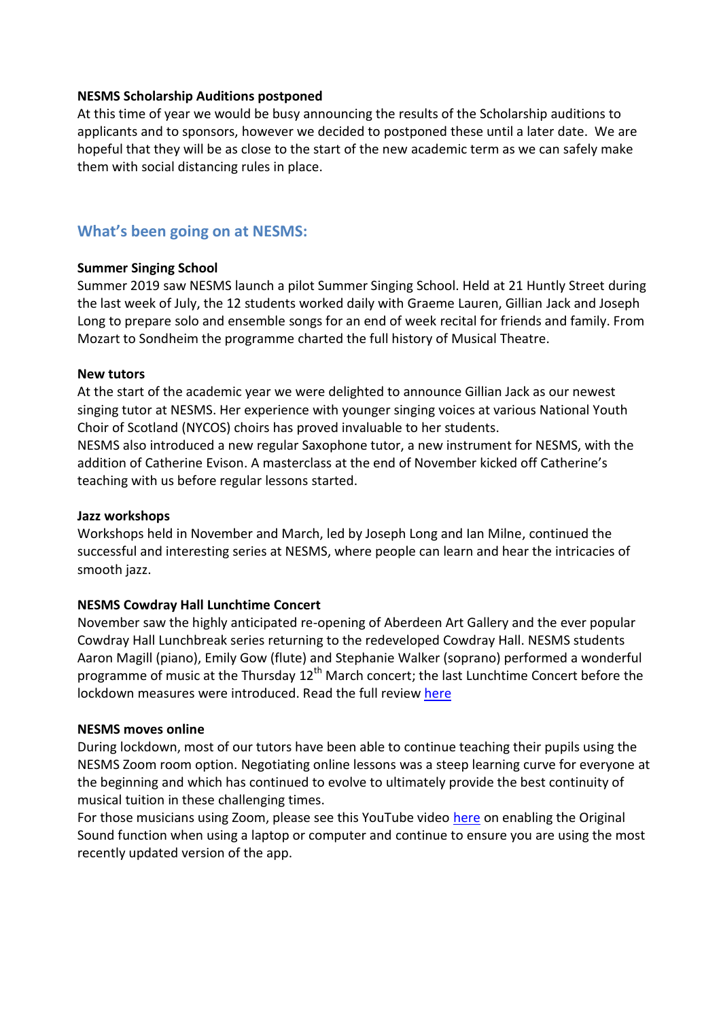## **NESMS Scholarship Auditions postponed**

At this time of year we would be busy announcing the results of the Scholarship auditions to applicants and to sponsors, however we decided to postponed these until a later date. We are hopeful that they will be as close to the start of the new academic term as we can safely make them with social distancing rules in place.

# **What's been going on at NESMS:**

#### **Summer Singing School**

Summer 2019 saw NESMS launch a pilot Summer Singing School. Held at 21 Huntly Street during the last week of July, the 12 students worked daily with Graeme Lauren, Gillian Jack and Joseph Long to prepare solo and ensemble songs for an end of week recital for friends and family. From Mozart to Sondheim the programme charted the full history of Musical Theatre.

#### **New tutors**

At the start of the academic year we were delighted to announce Gillian Jack as our newest singing tutor at NESMS. Her experience with younger singing voices at various National Youth Choir of Scotland (NYCOS) choirs has proved invaluable to her students.

NESMS also introduced a new regular Saxophone tutor, a new instrument for NESMS, with the addition of Catherine Evison. A masterclass at the end of November kicked off Catherine's teaching with us before regular lessons started.

#### **Jazz workshops**

Workshops held in November and March, led by Joseph Long and Ian Milne, continued the successful and interesting series at NESMS, where people can learn and hear the intricacies of smooth jazz.

## **NESMS Cowdray Hall Lunchtime Concert**

November saw the highly anticipated re-opening of Aberdeen Art Gallery and the ever popular Cowdray Hall Lunchbreak series returning to the redeveloped Cowdray Hall. NESMS students Aaron Magill (piano), Emily Gow (flute) and Stephanie Walker (soprano) performed a wonderful programme of music at the Thursday  $12<sup>th</sup>$  March concert; the last Lunchtime Concert before the lockdown measures were introduced. Read the full review [here](https://www.nesms.org.uk/reviews/12Mar2020.html)

#### **NESMS moves online**

During lockdown, most of our tutors have been able to continue teaching their pupils using the NESMS Zoom room option. Negotiating online lessons was a steep learning curve for everyone at the beginning and which has continued to evolve to ultimately provide the best continuity of musical tuition in these challenging times.

For those musicians using Zoom, please see this YouTube video [here](https://www.youtube.com/watch?reload=9&v=50NoWIiYECA) on enabling the Original Sound function when using a laptop or computer and continue to ensure you are using the most recently updated version of the app.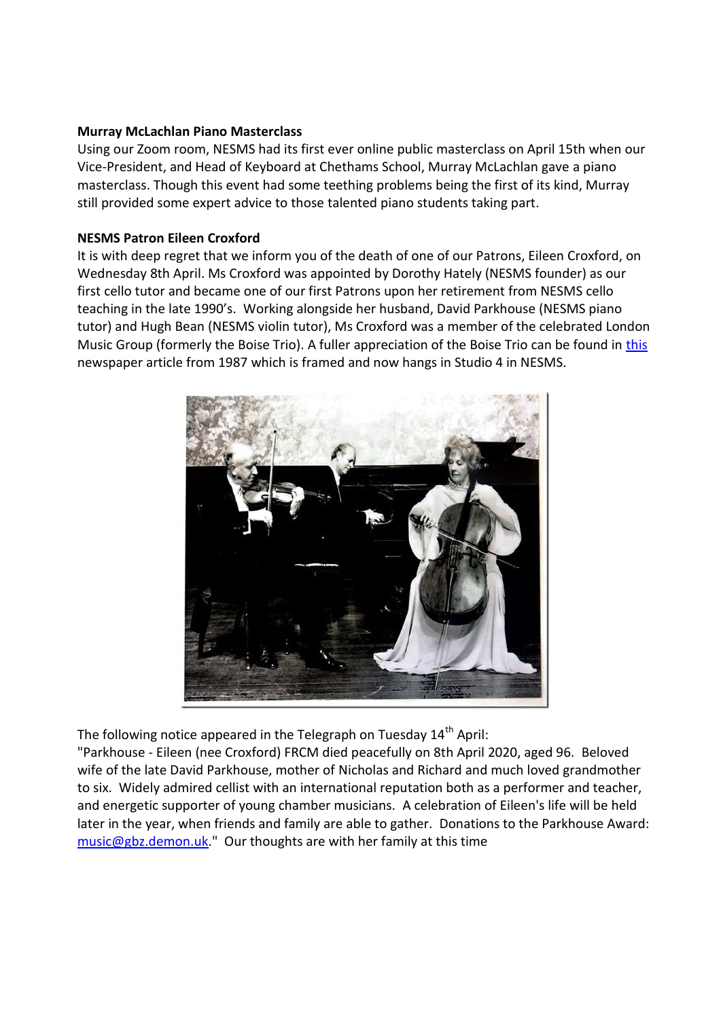## **Murray McLachlan Piano Masterclass**

Using our Zoom room, NESMS had its first ever online public masterclass on April 15th when our Vice-President, and Head of Keyboard at Chethams School, Murray McLachlan gave a piano masterclass. Though this event had some teething problems being the first of its kind, Murray still provided some expert advice to those talented piano students taking part.

# **NESMS Patron Eileen Croxford**

It is with deep regret that we inform you of the death of one of our Patrons, Eileen Croxford, on Wednesday 8th April. Ms Croxford was appointed by Dorothy Hately (NESMS founder) as our first cello tutor and became one of our first Patrons upon her retirement from NESMS cello teaching in the late 1990's. Working alongside her husband, David Parkhouse (NESMS piano tutor) and Hugh Bean (NESMS violin tutor), Ms Croxford was a member of the celebrated London Music Group (formerly the Boise Trio). A fuller appreciation of the Boise Trio can be found in [this](https://www.nesms.org.uk/pdf/BoiseTrio.pdf) newspaper article from 1987 which is framed and now hangs in Studio 4 in NESMS.



The following notice appeared in the Telegraph on Tuesday  $14<sup>th</sup>$  April:

"Parkhouse - Eileen (nee Croxford) FRCM died peacefully on 8th April 2020, aged 96. Beloved wife of the late David Parkhouse, mother of Nicholas and Richard and much loved grandmother to six. Widely admired cellist with an international reputation both as a performer and teacher, and energetic supporter of young chamber musicians. A celebration of Eileen's life will be held later in the year, when friends and family are able to gather. Donations to the Parkhouse Award: [music@gbz.demon.uk.](mailto:music@gbz.demon.uk)" Our thoughts are with her family at this time